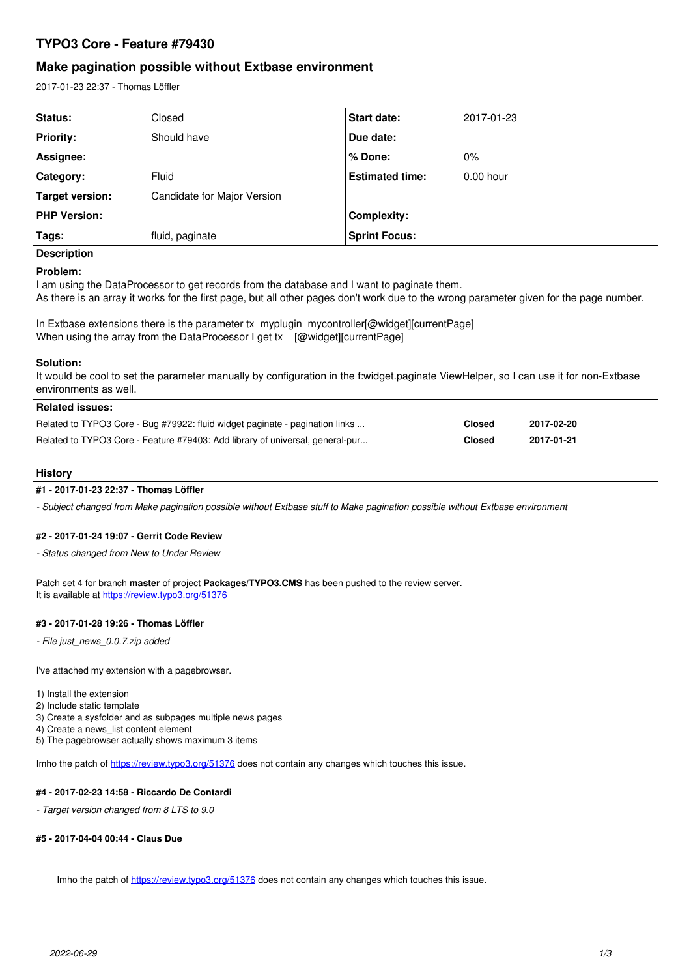# **TYPO3 Core - Feature #79430**

# **Make pagination possible without Extbase environment**

2017-01-23 22:37 - Thomas Löffler

| Status:                                                                                                                                                                                                                                                                                                                                                                                                                                                                                                                                                                                                      | Closed                      | <b>Start date:</b>     | 2017-01-23    |            |
|--------------------------------------------------------------------------------------------------------------------------------------------------------------------------------------------------------------------------------------------------------------------------------------------------------------------------------------------------------------------------------------------------------------------------------------------------------------------------------------------------------------------------------------------------------------------------------------------------------------|-----------------------------|------------------------|---------------|------------|
| <b>Priority:</b>                                                                                                                                                                                                                                                                                                                                                                                                                                                                                                                                                                                             | Should have                 | Due date:              |               |            |
| Assignee:                                                                                                                                                                                                                                                                                                                                                                                                                                                                                                                                                                                                    |                             | % Done:                | 0%            |            |
| Category:                                                                                                                                                                                                                                                                                                                                                                                                                                                                                                                                                                                                    | Fluid                       | <b>Estimated time:</b> | $0.00$ hour   |            |
| <b>Target version:</b>                                                                                                                                                                                                                                                                                                                                                                                                                                                                                                                                                                                       | Candidate for Major Version |                        |               |            |
| <b>PHP Version:</b>                                                                                                                                                                                                                                                                                                                                                                                                                                                                                                                                                                                          |                             | <b>Complexity:</b>     |               |            |
| Tags:                                                                                                                                                                                                                                                                                                                                                                                                                                                                                                                                                                                                        | fluid, paginate             | <b>Sprint Focus:</b>   |               |            |
| <b>Description</b>                                                                                                                                                                                                                                                                                                                                                                                                                                                                                                                                                                                           |                             |                        |               |            |
| Problem:<br>I am using the DataProcessor to get records from the database and I want to paginate them.<br>As there is an array it works for the first page, but all other pages don't work due to the wrong parameter given for the page number.<br>In Extbase extensions there is the parameter tx_myplugin_mycontroller[@widget][currentPage]<br>When using the array from the DataProcessor I get tx [@widget][currentPage]<br>Solution:<br>It would be cool to set the parameter manually by configuration in the f:widget.paginate ViewHelper, so I can use it for non-Extbase<br>environments as well. |                             |                        |               |            |
| <b>Related issues:</b>                                                                                                                                                                                                                                                                                                                                                                                                                                                                                                                                                                                       |                             |                        |               |            |
| Related to TYPO3 Core - Bug #79922: fluid widget paginate - pagination links                                                                                                                                                                                                                                                                                                                                                                                                                                                                                                                                 |                             |                        | <b>Closed</b> | 2017-02-20 |
| Related to TYPO3 Core - Feature #79403: Add library of universal, general-pur                                                                                                                                                                                                                                                                                                                                                                                                                                                                                                                                |                             |                        | <b>Closed</b> | 2017-01-21 |
|                                                                                                                                                                                                                                                                                                                                                                                                                                                                                                                                                                                                              |                             |                        |               |            |

### **History**

# **#1 - 2017-01-23 22:37 - Thomas Löffler**

*- Subject changed from Make pagination possible without Extbase stuff to Make pagination possible without Extbase environment*

### **#2 - 2017-01-24 19:07 - Gerrit Code Review**

*- Status changed from New to Under Review*

Patch set 4 for branch **master** of project **Packages/TYPO3.CMS** has been pushed to the review server. It is available at <https://review.typo3.org/51376>

### **#3 - 2017-01-28 19:26 - Thomas Löffler**

*- File just\_news\_0.0.7.zip added*

I've attached my extension with a pagebrowser.

- 1) Install the extension
- 2) Include static template
- 3) Create a sysfolder and as subpages multiple news pages
- 4) Create a news\_list content element
- 5) The pagebrowser actually shows maximum 3 items

Imho the patch of<https://review.typo3.org/51376> does not contain any changes which touches this issue.

### **#4 - 2017-02-23 14:58 - Riccardo De Contardi**

*- Target version changed from 8 LTS to 9.0*

## **#5 - 2017-04-04 00:44 - Claus Due**

Imho the patch of<https://review.typo3.org/51376> does not contain any changes which touches this issue.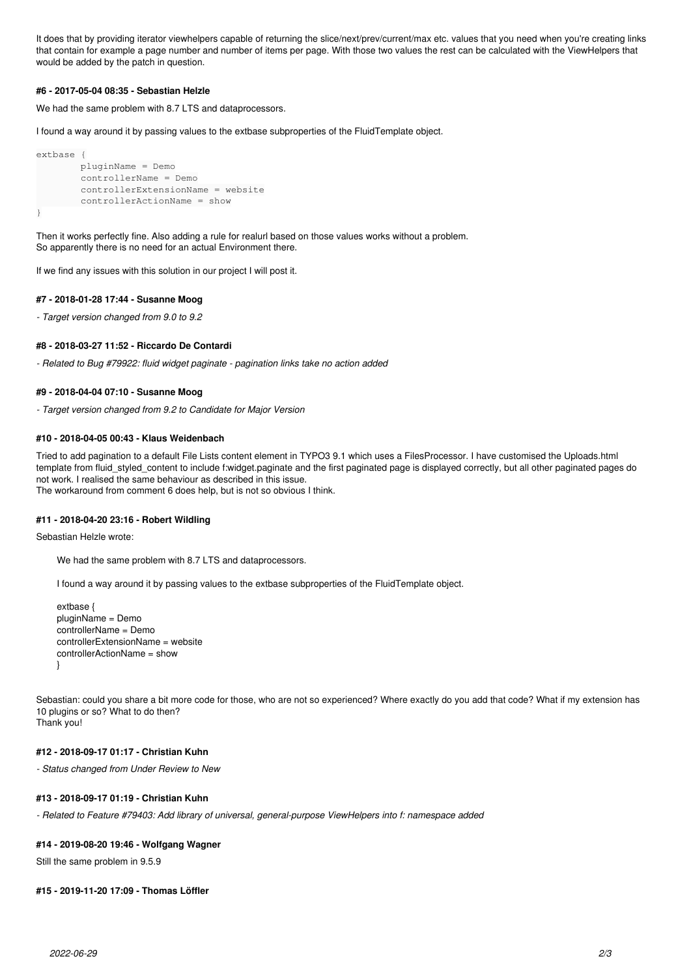It does that by providing iterator viewhelpers capable of returning the slice/next/prev/current/max etc. values that you need when you're creating links that contain for example a page number and number of items per page. With those two values the rest can be calculated with the ViewHelpers that would be added by the patch in question.

### **#6 - 2017-05-04 08:35 - Sebastian Helzle**

We had the same problem with 8.7 LTS and dataprocessors.

I found a way around it by passing values to the extbase subproperties of the FluidTemplate object.

```
extbase {
                 pluginName = Demo
                 controllerName = Demo
                 controllerExtensionName = website
                 controllerActionName = show
}
```
Then it works perfectly fine. Also adding a rule for realurl based on those values works without a problem. So apparently there is no need for an actual Environment there.

If we find any issues with this solution in our project I will post it.

### **#7 - 2018-01-28 17:44 - Susanne Moog**

*- Target version changed from 9.0 to 9.2*

#### **#8 - 2018-03-27 11:52 - Riccardo De Contardi**

*- Related to Bug #79922: fluid widget paginate - pagination links take no action added*

### **#9 - 2018-04-04 07:10 - Susanne Moog**

*- Target version changed from 9.2 to Candidate for Major Version*

### **#10 - 2018-04-05 00:43 - Klaus Weidenbach**

Tried to add pagination to a default File Lists content element in TYPO3 9.1 which uses a FilesProcessor. I have customised the Uploads.html template from fluid\_styled\_content to include f:widget.paginate and the first paginated page is displayed correctly, but all other paginated pages do not work. I realised the same behaviour as described in this issue. The workaround from comment 6 does help, but is not so obvious I think.

#### **#11 - 2018-04-20 23:16 - Robert Wildling**

Sebastian Helzle wrote:

We had the same problem with 8.7 LTS and dataprocessors.

I found a way around it by passing values to the extbase subproperties of the FluidTemplate object.

```
extbase {
pluginName = Demo
controllerName = Demo
controllerExtensionName = website
controllerActionName = show
}
```
Sebastian: could you share a bit more code for those, who are not so experienced? Where exactly do you add that code? What if my extension has 10 plugins or so? What to do then? Thank you!

#### **#12 - 2018-09-17 01:17 - Christian Kuhn**

*- Status changed from Under Review to New*

### **#13 - 2018-09-17 01:19 - Christian Kuhn**

*- Related to Feature #79403: Add library of universal, general-purpose ViewHelpers into f: namespace added*

### **#14 - 2019-08-20 19:46 - Wolfgang Wagner**

Still the same problem in 9.5.9

### **#15 - 2019-11-20 17:09 - Thomas Löffler**